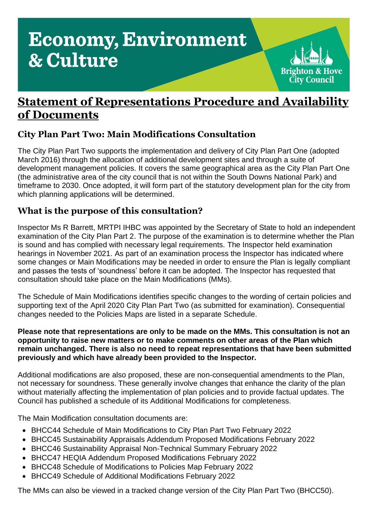# **Economy, Environment** & Culture



## **Statement of Representations Procedure and Availability of Documents**

### **City Plan Part Two: Main Modifications Consultation**

The City Plan Part Two supports the implementation and delivery of City Plan Part One (adopted March 2016) through the allocation of additional development sites and through a suite of development management policies. It covers the same geographical area as the City Plan Part One (the administrative area of the city council that is not within the South Downs National Park) and timeframe to 2030. Once adopted, it will form part of the statutory development plan for the city from which planning applications will be determined.

### **What is the purpose of this consultation?**

Inspector Ms R Barrett, MRTPI IHBC was appointed by the Secretary of State to hold an independent examination of the City Plan Part 2. The purpose of the examination is to determine whether the Plan is sound and has complied with necessary legal requirements. The Inspector held examination hearings in November 2021. As part of an examination process the Inspector has indicated where some changes or Main Modifications may be needed in order to ensure the Plan is legally compliant and passes the tests of 'soundness' before it can be adopted. The Inspector has requested that consultation should take place on the Main Modifications (MMs).

The Schedule of Main Modifications identifies specific changes to the wording of certain policies and supporting text of the April 2020 City Plan Part Two (as submitted for examination). Consequential changes needed to the Policies Maps are listed in a separate Schedule.

#### **Please note that representations are only to be made on the MMs. This consultation is not an opportunity to raise new matters or to make comments on other areas of the Plan which remain unchanged. There is also no need to repeat representations that have been submitted previously and which have already been provided to the Inspector.**

Additional modifications are also proposed, these are non-consequential amendments to the Plan, not necessary for soundness. These generally involve changes that enhance the clarity of the plan without materially affecting the implementation of plan policies and to provide factual updates. The Council has published a schedule of its Additional Modifications for completeness.

The Main Modification consultation documents are:

- BHCC44 Schedule of Main Modifications to City Plan Part Two February 2022
- BHCC45 Sustainability Appraisals Addendum Proposed Modifications February 2022
- BHCC46 Sustainability Appraisal Non-Technical Summary February 2022
- BHCC47 HEQIA Addendum Proposed Modifications February 2022
- BHCC48 Schedule of Modifications to Policies Map February 2022
- BHCC49 Schedule of Additional Modifications February 2022

The MMs can also be viewed in a tracked change version of the City Plan Part Two (BHCC50).